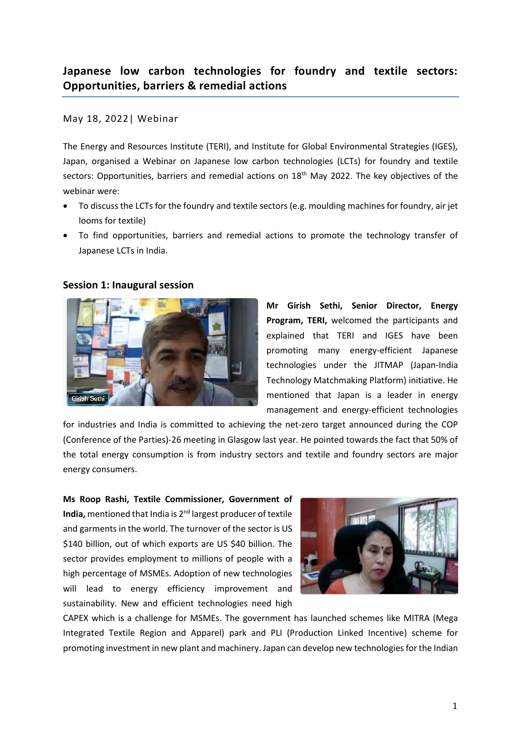## May 18, 2022| Webinar

The Energy and Resources Institute (TERI), and Institute for Global Environmental Strategies (IGES), Japan, organised a Webinar on Japanese low carbon technologies (LCTs) for foundry and textile sectors: Opportunities, barriers and remedial actions on 18<sup>th</sup> May 2022. The key objectives of the webinar were:

- To discuss the LCTs for the foundry and textile sectors (e.g. moulding machines for foundry, air jet looms for textile)
- To find opportunities, barriers and remedial actions to promote the technology transfer of Japanese LCTs in India.

# **Session 1: Inaugural session**



**Mr Girish Sethi, Senior Director, Energy Program, TERI,** welcomed the participants and explained that TERI and IGES have been promoting many energy-efficient Japanese technologies under the JITMAP (Japan-India Technology Matchmaking Platform) initiative. He mentioned that Japan is a leader in energy management and energy-efficient technologies

for industries and India is committed to achieving the net-zero target announced during the COP (Conference of the Parties)-26 meeting in Glasgow last year. He pointed towards the fact that 50% of the total energy consumption is from industry sectors and textile and foundry sectors are major energy consumers.

**Ms Roop Rashi, Textile Commissioner, Government of India,** mentioned that India is 2nd largest producer of textile and garments in the world. The turnover of the sector is US \$140 billion, out of which exports are US \$40 billion. The sector provides employment to millions of people with a high percentage of MSMEs. Adoption of new technologies will lead to energy efficiency improvement and sustainability. New and efficient technologies need high



CAPEX which is a challenge for MSMEs. The government has launched schemes like MITRA (Mega Integrated Textile Region and Apparel) park and PLI (Production Linked Incentive) scheme for promoting investment in new plant and machinery. Japan can develop new technologies for the Indian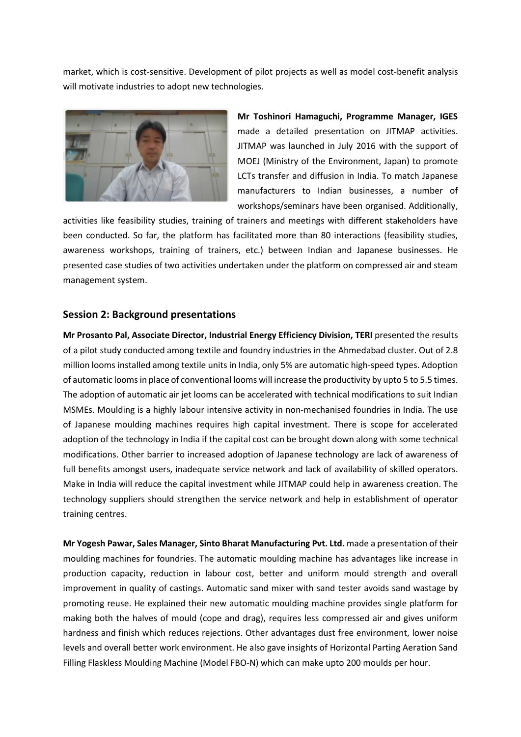market, which is cost-sensitive. Development of pilot projects as well as model cost-benefit analysis will motivate industries to adopt new technologies.



**Mr Toshinori Hamaguchi, Programme Manager, IGES** made a detailed presentation on JITMAP activities. JITMAP was launched in July 2016 with the support of MOEJ (Ministry of the Environment, Japan) to promote LCTs transfer and diffusion in India. To match Japanese manufacturers to Indian businesses, a number of workshops/seminars have been organised. Additionally,

activities like feasibility studies, training of trainers and meetings with different stakeholders have been conducted. So far, the platform has facilitated more than 80 interactions (feasibility studies, awareness workshops, training of trainers, etc.) between Indian and Japanese businesses. He presented case studies of two activities undertaken under the platform on compressed air and steam management system.

## **Session 2: Background presentations**

**Mr Prosanto Pal, Associate Director, Industrial Energy Efficiency Division, TERI** presented the results of a pilot study conducted among textile and foundry industries in the Ahmedabad cluster. Out of 2.8 million looms installed among textile units in India, only 5% are automatic high-speed types. Adoption of automatic looms in place of conventional looms will increase the productivity by upto 5 to 5.5 times. The adoption of automatic air jet looms can be accelerated with technical modifications to suit Indian MSMEs. Moulding is a highly labour intensive activity in non-mechanised foundries in India. The use of Japanese moulding machines requires high capital investment. There is scope for accelerated adoption of the technology in India if the capital cost can be brought down along with some technical modifications. Other barrier to increased adoption of Japanese technology are lack of awareness of full benefits amongst users, inadequate service network and lack of availability of skilled operators. Make in India will reduce the capital investment while JITMAP could help in awareness creation. The technology suppliers should strengthen the service network and help in establishment of operator training centres.

**Mr Yogesh Pawar, Sales Manager, Sinto Bharat Manufacturing Pvt. Ltd.** made a presentation of their moulding machines for foundries. The automatic moulding machine has advantages like increase in production capacity, reduction in labour cost, better and uniform mould strength and overall improvement in quality of castings. Automatic sand mixer with sand tester avoids sand wastage by promoting reuse. He explained their new automatic moulding machine provides single platform for making both the halves of mould (cope and drag), requires less compressed air and gives uniform hardness and finish which reduces rejections. Other advantages dust free environment, lower noise levels and overall better work environment. He also gave insights of Horizontal Parting Aeration Sand Filling Flaskless Moulding Machine (Model FBO-N) which can make upto 200 moulds per hour.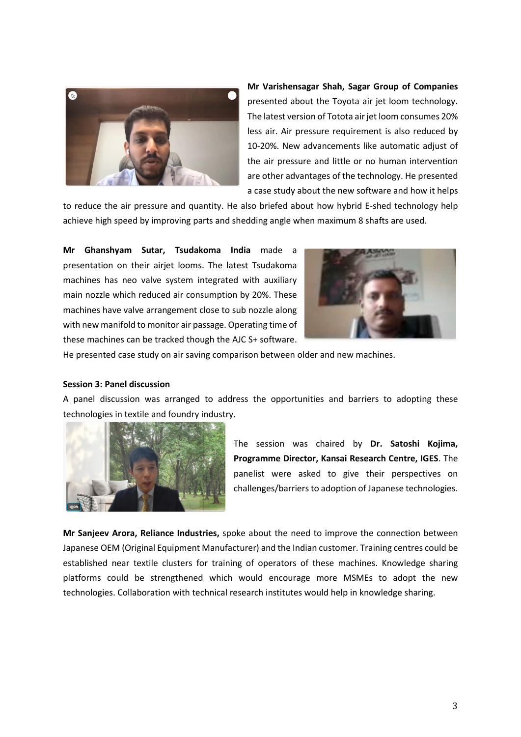

**Mr Varishensagar Shah, Sagar Group of Companies** presented about the Toyota air jet loom technology. The latest version of Totota air jet loom consumes 20% less air. Air pressure requirement is also reduced by 10-20%. New advancements like automatic adjust of the air pressure and little or no human intervention are other advantages of the technology. He presented a case study about the new software and how it helps

to reduce the air pressure and quantity. He also briefed about how hybrid E-shed technology help achieve high speed by improving parts and shedding angle when maximum 8 shafts are used.

**Mr Ghanshyam Sutar, Tsudakoma India** made a presentation on their airjet looms. The latest Tsudakoma machines has neo valve system integrated with auxiliary main nozzle which reduced air consumption by 20%. These machines have valve arrangement close to sub nozzle along with new manifold to monitor air passage. Operating time of these machines can be tracked though the AJC S+ software.



He presented case study on air saving comparison between older and new machines.

#### **Session 3: Panel discussion**

A panel discussion was arranged to address the opportunities and barriers to adopting these technologies in textile and foundry industry.



The session was chaired by **Dr. Satoshi Kojima, Programme Director, Kansai Research Centre, IGES**. The panelist were asked to give their perspectives on challenges/barriers to adoption of Japanese technologies.

**Mr Sanjeev Arora, Reliance Industries,** spoke about the need to improve the connection between Japanese OEM (Original Equipment Manufacturer) and the Indian customer. Training centres could be established near textile clusters for training of operators of these machines. Knowledge sharing platforms could be strengthened which would encourage more MSMEs to adopt the new technologies. Collaboration with technical research institutes would help in knowledge sharing.